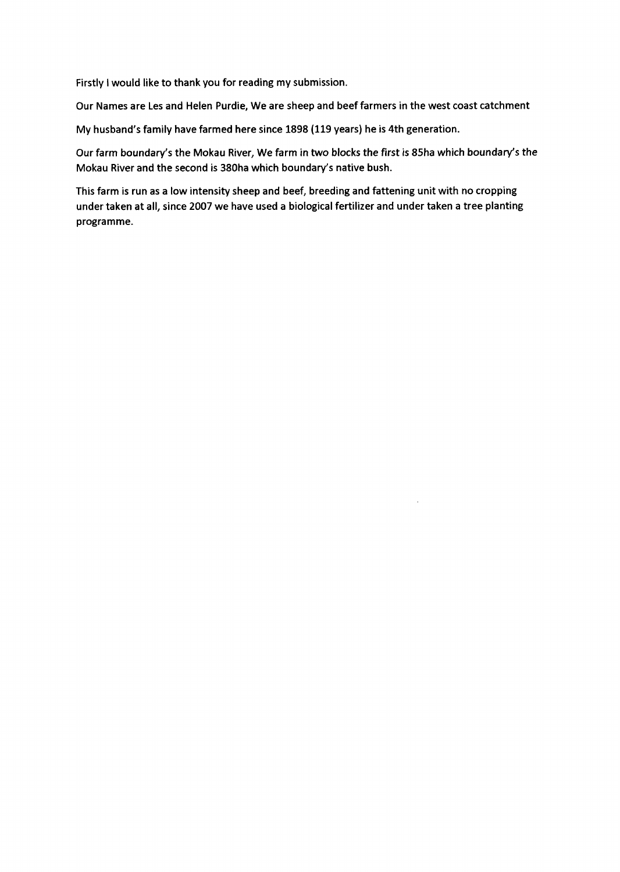Firstly I would like to thank you for reading my submission.

Our Names are Les and Helen Purdie, We are sheep and beef farmers in the west coast catchment

My husband's family have farmed here since 1898 (119 years) he is 4th generation.

Our farm boundary's the Mokau River, We farm in two blocks the first is 85ha which boundary's the Mokau River and the second is 380ha which boundary's native bush.

This farm is run as a low intensity sheep and beef, breeding and fattening unit with no cropping under taken at all, since 2007 we have used a biological fertilizer and under taken a tree planting programme.

 $\bar{z}$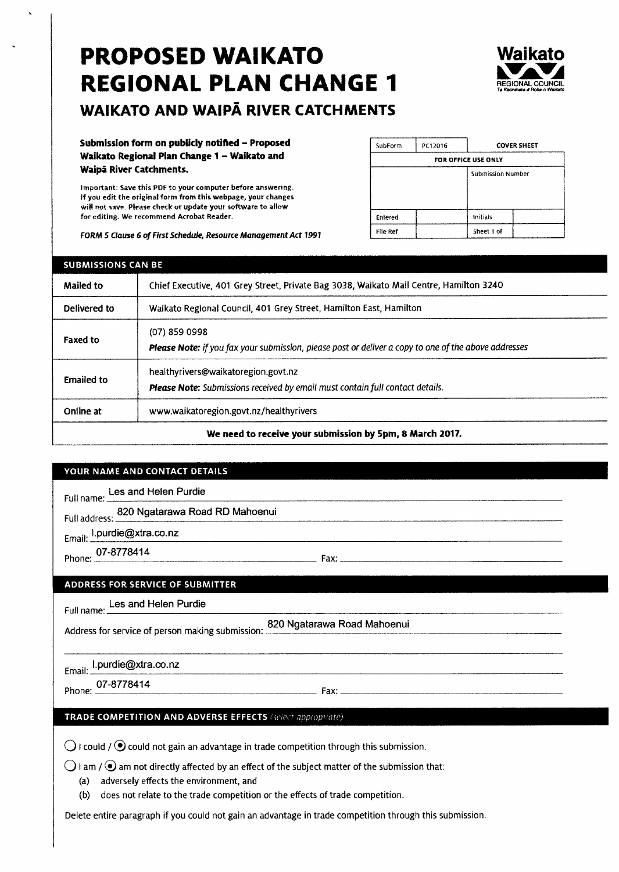# PROPOSED WAIKATO REGIONAL PLAN CHANGE <sup>1</sup>



# WAIKATO AND WAIPA RIVER CATCHMENTS

Submission form on publicly notified - Proposed Waikato Regional Plan Change 1 - Waikato and Waipä River Catchments.

Important: Save this PDF to your computer before answering. If you edit the original form from this webpage, your changes will not save. Please check or update your software to allow for editing. We recommend Acrobat Reader.

FORM 5 Clause 6 of First Schedule, Resource Management Act 1991

| SubForm  | PC12016 |                     | <b>COVER SHEET</b> |
|----------|---------|---------------------|--------------------|
|          |         | FOR OFFICE USE ONLY |                    |
|          |         | Submission Number   |                    |
| Entered  |         | Initials            |                    |
| File Ref |         | Sheet 1 of          |                    |

| <b>SUBMISSIONS CAN BE</b>                                |                                                                                                                             |  |  |
|----------------------------------------------------------|-----------------------------------------------------------------------------------------------------------------------------|--|--|
| <b>Mailed to</b>                                         | Chief Executive, 401 Grey Street, Private Bag 3038, Waikato Mail Centre, Hamilton 3240                                      |  |  |
| Delivered to                                             | Waikato Regional Council, 401 Grey Street, Hamilton East, Hamilton                                                          |  |  |
| <b>Faxed to</b>                                          | $(07)$ 859 0998<br>Please Note: if you fax your submission, please post or deliver a copy to one of the above addresses     |  |  |
| <b>Emailed to</b>                                        | healthyrivers@waikatoregion.govt.nz<br><b>Please Note:</b> Submissions received by email must contain full contact details. |  |  |
| Online at                                                | www.waikatoregion.govt.nz/healthyrivers                                                                                     |  |  |
| We need to receive your submission by 5pm, 8 March 2017. |                                                                                                                             |  |  |

#### YOUR NAME AND CONTACT DETAILS

Les and Helen Purdie Full name:

820 Ngatarawa Road RD Mahoenui Full address:

l.purdie@xtra.co.nz

Phone: 07-8778414

Fax:

#### **ADDRESS FOR SERVICE OF SUBMITTER**

Full name: Les and Helen Purdie

820 Ngatarawa Road Mahoenui Address for service of person making submission:

Email: Lpurdie@xtra.co.nz

Phone: 07-8778414

Fax:

#### TRADE COMPETITION AND ADVERSE EFFECTS (select appropriate)

 $\bigcirc$  I could /  $\bigcirc$  could not gain an advantage in trade competition through this submission.

 $\bigcirc$  I am /  $\bullet$  am not directly affected by an effect of the subject matter of the submission that:

(a) adversely effects the environment, and

(b) does not relate to the trade competition or the effects of trade competition.

Delete entire paragraph if you could not gain an advantage in trade competition through this submission.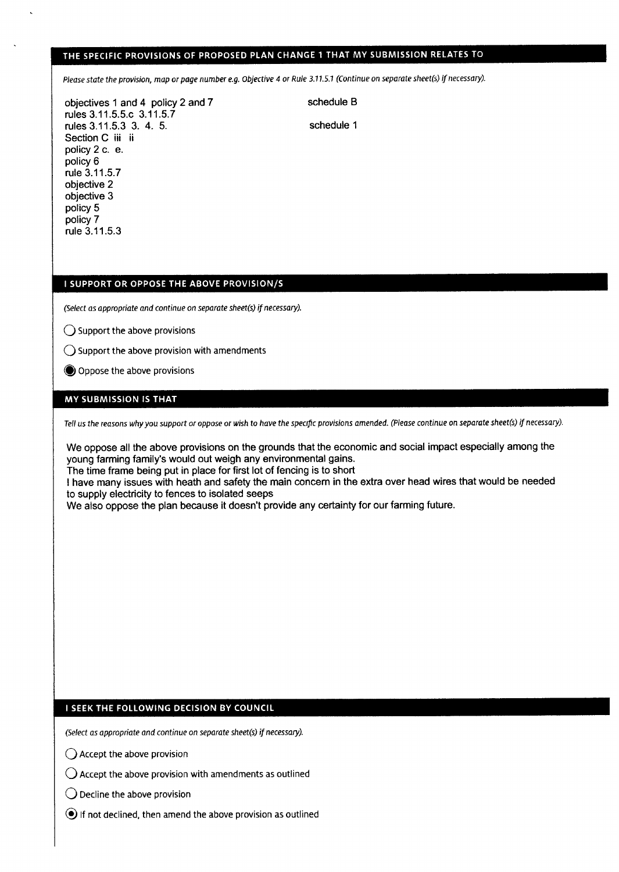### THE SPECIFIC PROVISIONS OF PROPOSED PLAN CHANGE 1 THAT MY SUBMISSION RELATES TO

Please state the provision, map or page number e.g. Objective 4 or Rule 3.11.5.1 (Continue on separate sheet(s) if necessary).

objectives 1 and 4 policy 2 and 7 rules 3.1 1.5.5.c 3.11.5.7 rules 3.11.5.3 3. 4. 5. Section C iii ii policy 2 c. e. policy 6 rule 3.11.5.7 objective 2 objective 3 policy 5 policy 7 rule 3.11.5.3

schedule B

schedule <sup>1</sup>

#### I SUPPORT OR OPPOSE THE ABOVE PROVISION/S

(Select as appropriate and continue on separate sheet(s) if necessary).

 $\bigcirc$  Support the above provisions

- $\bigcirc$  Support the above provision with amendments
- O Oppose the above provisions

#### MY SUBMISSION IS THAT

Tell us the reasons why you support or oppose or wish to have the specific provisions amended. (Please continue on separate sheet(s) if necessary).

We oppose all the above provisions on the grounds that the economic and social impact especially among the young farming family's would out weigh any environmental gains.

The time frame being put in place for first lot of fencing is to short

I have many issues with heath and safety the main concem in the extra over head wires that would be needed to supply electricity to fences to isolated seeps

We also oppose the plan because it doesn't provide any certainty for our farming future.

#### I SEEK THE FOLLOWING DECISION BY COUNCIL

(Select as appropriate and continue on separate sheet(s) if necessary).

- $\bigcap$  Accept the above provision
- $\bigcirc$  Accept the above provision with amendments as outlined
- $\bigcirc$  Decline the above provision
- $\odot$  if not declined, then amend the above provision as outlined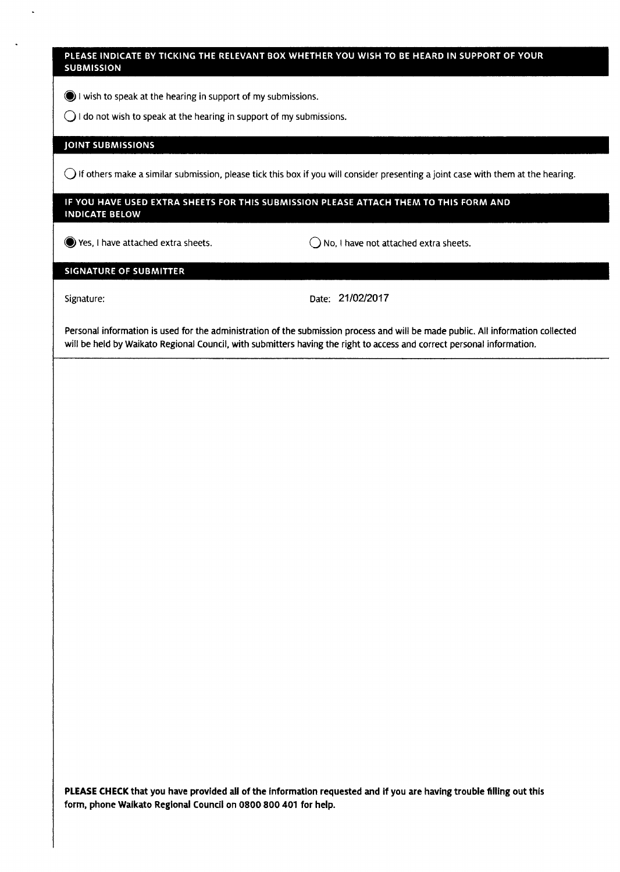#### PLEASE INDICATE BY TICKING THE RELEVANT BOX WHETHER YOU WISH TO BE HEARD IN SUPPORT OF YOUR **SUBMISSION**

 $\bigcirc$  I wish to speak at the hearing in support of my submissions.

 $\bigcirc$  I do not wish to speak at the hearing in support of my submissions.

#### **JOINT SUBMISSIONS**

 $\bigcirc$  If others make a similar submission, please tick this box if you will consider presenting a joint case with them at the hearing.

#### IF YOU HAVE USED EXTRA SHEETS FOR THIS SUBMISSION PLEASE ATTACH THEM TO THIS FORM AND **INDICATE BELOW**

 $\bigcirc$  Yes, I have attached extra sheets.  $\bigcirc$  No, I have not attached extra sheets.

#### **SIGNATURE OF SUBMITTER**

Signature: Date: 21/02/2017

Personal information is used for the administration of the submission process and will be made public. All information collected will be held by Waikato Regional Council, with submitters having the right to access and correct personal information.

PLEASE CHECK that you have provided all of the information requested and if you are having trouble filling out this form, phone Walkato Reglonal Council on 0800 800 401 for help.